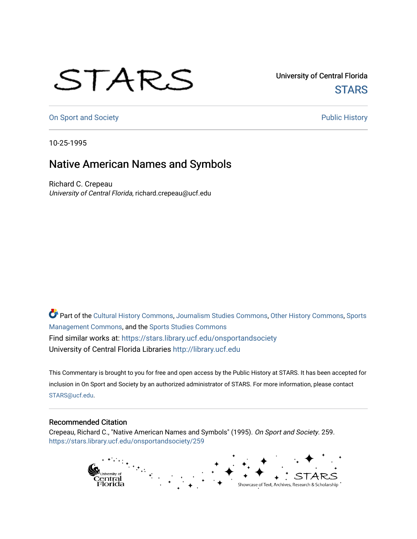## STARS

University of Central Florida **STARS** 

[On Sport and Society](https://stars.library.ucf.edu/onsportandsociety) **Public History** Public History

10-25-1995

## Native American Names and Symbols

Richard C. Crepeau University of Central Florida, richard.crepeau@ucf.edu

Part of the [Cultural History Commons](http://network.bepress.com/hgg/discipline/496?utm_source=stars.library.ucf.edu%2Fonsportandsociety%2F259&utm_medium=PDF&utm_campaign=PDFCoverPages), [Journalism Studies Commons,](http://network.bepress.com/hgg/discipline/333?utm_source=stars.library.ucf.edu%2Fonsportandsociety%2F259&utm_medium=PDF&utm_campaign=PDFCoverPages) [Other History Commons,](http://network.bepress.com/hgg/discipline/508?utm_source=stars.library.ucf.edu%2Fonsportandsociety%2F259&utm_medium=PDF&utm_campaign=PDFCoverPages) [Sports](http://network.bepress.com/hgg/discipline/1193?utm_source=stars.library.ucf.edu%2Fonsportandsociety%2F259&utm_medium=PDF&utm_campaign=PDFCoverPages) [Management Commons](http://network.bepress.com/hgg/discipline/1193?utm_source=stars.library.ucf.edu%2Fonsportandsociety%2F259&utm_medium=PDF&utm_campaign=PDFCoverPages), and the [Sports Studies Commons](http://network.bepress.com/hgg/discipline/1198?utm_source=stars.library.ucf.edu%2Fonsportandsociety%2F259&utm_medium=PDF&utm_campaign=PDFCoverPages) Find similar works at: <https://stars.library.ucf.edu/onsportandsociety> University of Central Florida Libraries [http://library.ucf.edu](http://library.ucf.edu/) 

This Commentary is brought to you for free and open access by the Public History at STARS. It has been accepted for inclusion in On Sport and Society by an authorized administrator of STARS. For more information, please contact [STARS@ucf.edu](mailto:STARS@ucf.edu).

## Recommended Citation

Crepeau, Richard C., "Native American Names and Symbols" (1995). On Sport and Society. 259. [https://stars.library.ucf.edu/onsportandsociety/259](https://stars.library.ucf.edu/onsportandsociety/259?utm_source=stars.library.ucf.edu%2Fonsportandsociety%2F259&utm_medium=PDF&utm_campaign=PDFCoverPages)

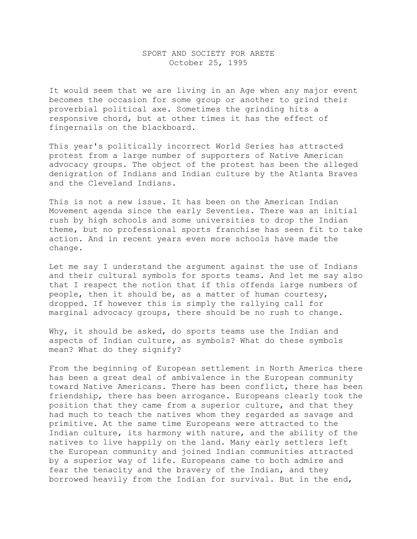## SPORT AND SOCIETY FOR ARETE October 25, 1995

It would seem that we are living in an Age when any major event becomes the occasion for some group or another to grind their proverbial political axe. Sometimes the grinding hits a responsive chord, but at other times it has the effect of fingernails on the blackboard.

This year's politically incorrect World Series has attracted protest from a large number of supporters of Native American advocacy groups. The object of the protest has been the alleged denigration of Indians and Indian culture by the Atlanta Braves and the Cleveland Indians.

This is not a new issue. It has been on the American Indian Movement agenda since the early Seventies. There was an initial rush by high schools and some universities to drop the Indian theme, but no professional sports franchise has seen fit to take action. And in recent years even more schools have made the change.

Let me say I understand the argument against the use of Indians and their cultural symbols for sports teams. And let me say also that I respect the notion that if this offends large numbers of people, then it should be, as a matter of human courtesy, dropped. If however this is simply the rallying call for marginal advocacy groups, there should be no rush to change.

Why, it should be asked, do sports teams use the Indian and aspects of Indian culture, as symbols? What do these symbols mean? What do they signify?

From the beginning of European settlement in North America there has been a great deal of ambivalence in the European community toward Native Americans. There has been conflict, there has been friendship, there has been arrogance. Europeans clearly took the position that they came from a superior culture, and that they had much to teach the natives whom they regarded as savage and primitive. At the same time Europeans were attracted to the Indian culture, its harmony with nature, and the ability of the natives to live happily on the land. Many early settlers left the European community and joined Indian communities attracted by a superior way of life. Europeans came to both admire and fear the tenacity and the bravery of the Indian, and they borrowed heavily from the Indian for survival. But in the end,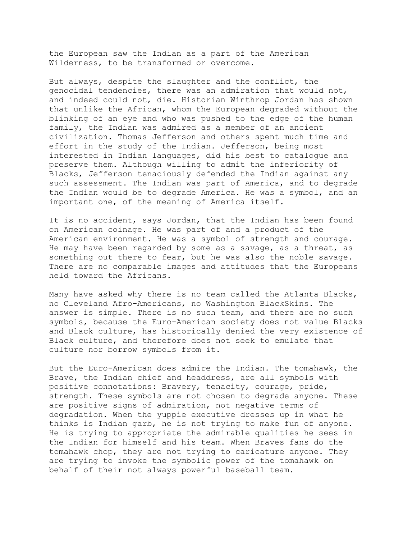the European saw the Indian as a part of the American Wilderness, to be transformed or overcome.

But always, despite the slaughter and the conflict, the genocidal tendencies, there was an admiration that would not, and indeed could not, die. Historian Winthrop Jordan has shown that unlike the African, whom the European degraded without the blinking of an eye and who was pushed to the edge of the human family, the Indian was admired as a member of an ancient civilization. Thomas Jefferson and others spent much time and effort in the study of the Indian. Jefferson, being most interested in Indian languages, did his best to catalogue and preserve them. Although willing to admit the inferiority of Blacks, Jefferson tenaciously defended the Indian against any such assessment. The Indian was part of America, and to degrade the Indian would be to degrade America. He was a symbol, and an important one, of the meaning of America itself.

It is no accident, says Jordan, that the Indian has been found on American coinage. He was part of and a product of the American environment. He was a symbol of strength and courage. He may have been regarded by some as a savage, as a threat, as something out there to fear, but he was also the noble savage. There are no comparable images and attitudes that the Europeans held toward the Africans.

Many have asked why there is no team called the Atlanta Blacks, no Cleveland Afro-Americans, no Washington BlackSkins. The answer is simple. There is no such team, and there are no such symbols, because the Euro-American society does not value Blacks and Black culture, has historically denied the very existence of Black culture, and therefore does not seek to emulate that culture nor borrow symbols from it.

But the Euro-American does admire the Indian. The tomahawk, the Brave, the Indian chief and headdress, are all symbols with positive connotations: Bravery, tenacity, courage, pride, strength. These symbols are not chosen to degrade anyone. These are positive signs of admiration, not negative terms of degradation. When the yuppie executive dresses up in what he thinks is Indian garb, he is not trying to make fun of anyone. He is trying to appropriate the admirable qualities he sees in the Indian for himself and his team. When Braves fans do the tomahawk chop, they are not trying to caricature anyone. They are trying to invoke the symbolic power of the tomahawk on behalf of their not always powerful baseball team.